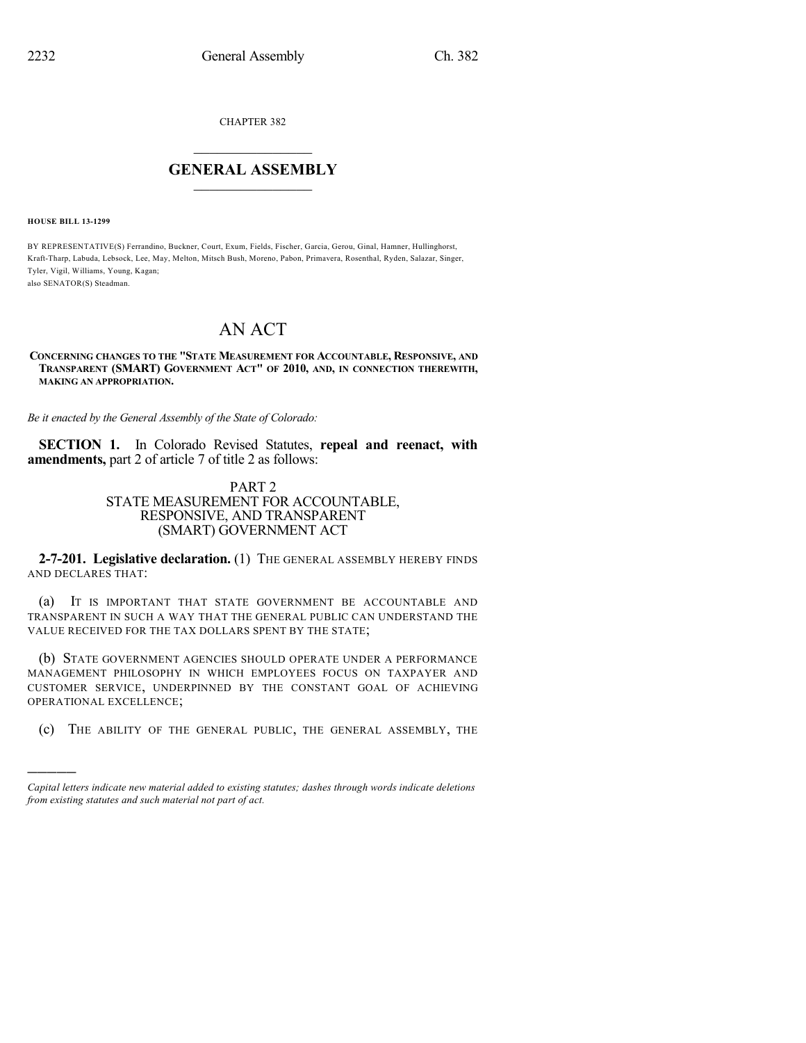CHAPTER 382

## $\mathcal{L}_\text{max}$  . The set of the set of the set of the set of the set of the set of the set of the set of the set of the set of the set of the set of the set of the set of the set of the set of the set of the set of the set **GENERAL ASSEMBLY**  $\frac{1}{\sqrt{2}}$  . The set of  $\frac{1}{\sqrt{2}}$

**HOUSE BILL 13-1299**

)))))

BY REPRESENTATIVE(S) Ferrandino, Buckner, Court, Exum, Fields, Fischer, Garcia, Gerou, Ginal, Hamner, Hullinghorst, Kraft-Tharp, Labuda, Lebsock, Lee, May, Melton, Mitsch Bush, Moreno, Pabon, Primavera, Rosenthal, Ryden, Salazar, Singer, Tyler, Vigil, Williams, Young, Kagan; also SENATOR(S) Steadman.

# AN ACT

### **CONCERNING CHANGES TO THE "STATE MEASUREMENT FOR ACCOUNTABLE, RESPONSIVE, AND TRANSPARENT (SMART) GOVERNMENT ACT" OF 2010, AND, IN CONNECTION THEREWITH, MAKING AN APPROPRIATION.**

*Be it enacted by the General Assembly of the State of Colorado:*

**SECTION 1.** In Colorado Revised Statutes, **repeal and reenact, with amendments,** part 2 of article 7 of title 2 as follows:

## PART 2 STATE MEASUREMENT FOR ACCOUNTABLE, RESPONSIVE, AND TRANSPARENT (SMART) GOVERNMENT ACT

**2-7-201. Legislative declaration.** (1) THE GENERAL ASSEMBLY HEREBY FINDS AND DECLARES THAT:

(a) IT IS IMPORTANT THAT STATE GOVERNMENT BE ACCOUNTABLE AND TRANSPARENT IN SUCH A WAY THAT THE GENERAL PUBLIC CAN UNDERSTAND THE VALUE RECEIVED FOR THE TAX DOLLARS SPENT BY THE STATE;

(b) STATE GOVERNMENT AGENCIES SHOULD OPERATE UNDER A PERFORMANCE MANAGEMENT PHILOSOPHY IN WHICH EMPLOYEES FOCUS ON TAXPAYER AND CUSTOMER SERVICE, UNDERPINNED BY THE CONSTANT GOAL OF ACHIEVING OPERATIONAL EXCELLENCE;

(c) THE ABILITY OF THE GENERAL PUBLIC, THE GENERAL ASSEMBLY, THE

*Capital letters indicate new material added to existing statutes; dashes through words indicate deletions from existing statutes and such material not part of act.*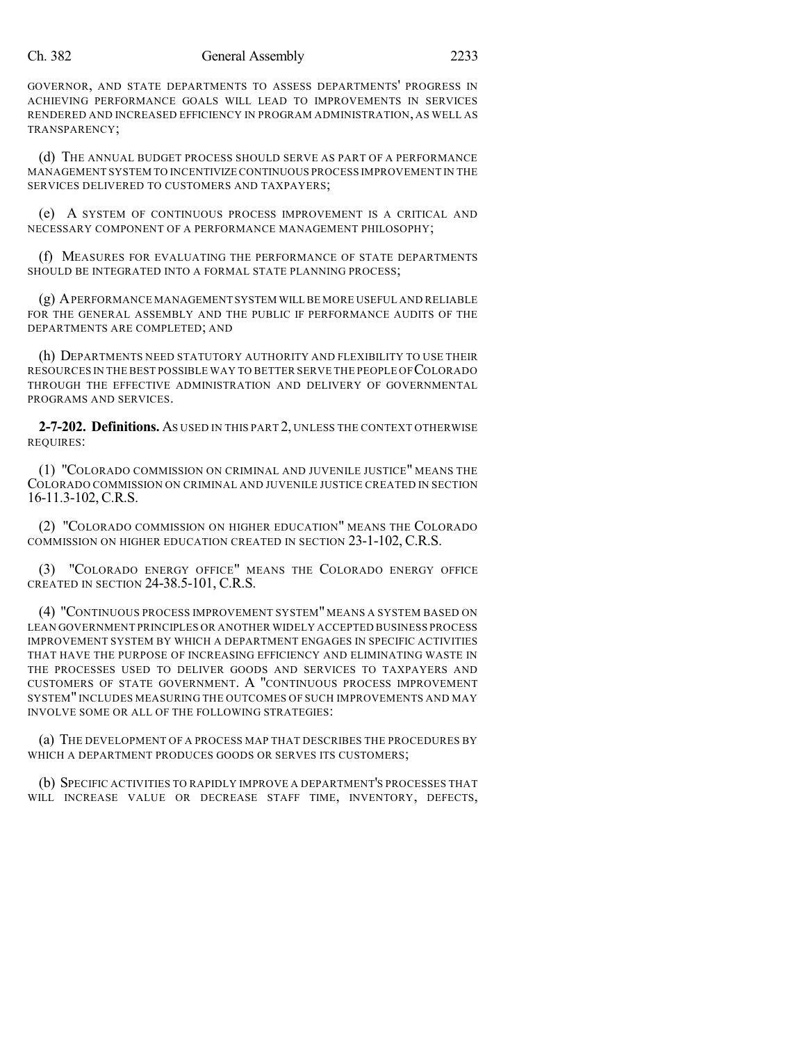### Ch. 382 General Assembly 2233

GOVERNOR, AND STATE DEPARTMENTS TO ASSESS DEPARTMENTS' PROGRESS IN ACHIEVING PERFORMANCE GOALS WILL LEAD TO IMPROVEMENTS IN SERVICES RENDERED AND INCREASED EFFICIENCY IN PROGRAM ADMINISTRATION, AS WELL AS TRANSPARENCY;

(d) THE ANNUAL BUDGET PROCESS SHOULD SERVE AS PART OF A PERFORMANCE MANAGEMENT SYSTEM TO INCENTIVIZE CONTINUOUS PROCESS IMPROVEMENT IN THE SERVICES DELIVERED TO CUSTOMERS AND TAXPAYERS;

(e) A SYSTEM OF CONTINUOUS PROCESS IMPROVEMENT IS A CRITICAL AND NECESSARY COMPONENT OF A PERFORMANCE MANAGEMENT PHILOSOPHY;

(f) MEASURES FOR EVALUATING THE PERFORMANCE OF STATE DEPARTMENTS SHOULD BE INTEGRATED INTO A FORMAL STATE PLANNING PROCESS;

(g) APERFORMANCE MANAGEMENT SYSTEM WILL BE MORE USEFUL AND RELIABLE FOR THE GENERAL ASSEMBLY AND THE PUBLIC IF PERFORMANCE AUDITS OF THE DEPARTMENTS ARE COMPLETED; AND

(h) DEPARTMENTS NEED STATUTORY AUTHORITY AND FLEXIBILITY TO USE THEIR RESOURCES IN THE BEST POSSIBLE WAY TO BETTER SERVE THE PEOPLE OF COLORADO THROUGH THE EFFECTIVE ADMINISTRATION AND DELIVERY OF GOVERNMENTAL PROGRAMS AND SERVICES.

**2-7-202. Definitions.** AS USED IN THIS PART 2, UNLESS THE CONTEXT OTHERWISE REQUIRES:

(1) "COLORADO COMMISSION ON CRIMINAL AND JUVENILE JUSTICE" MEANS THE COLORADO COMMISSION ON CRIMINAL AND JUVENILE JUSTICE CREATED IN SECTION 16-11.3-102, C.R.S.

(2) "COLORADO COMMISSION ON HIGHER EDUCATION" MEANS THE COLORADO COMMISSION ON HIGHER EDUCATION CREATED IN SECTION 23-1-102, C.R.S.

(3) "COLORADO ENERGY OFFICE" MEANS THE COLORADO ENERGY OFFICE CREATED IN SECTION 24-38.5-101, C.R.S.

(4) "CONTINUOUS PROCESS IMPROVEMENT SYSTEM" MEANS A SYSTEM BASED ON LEAN GOVERNMENT PRINCIPLES OR ANOTHER WIDELY ACCEPTED BUSINESS PROCESS IMPROVEMENT SYSTEM BY WHICH A DEPARTMENT ENGAGES IN SPECIFIC ACTIVITIES THAT HAVE THE PURPOSE OF INCREASING EFFICIENCY AND ELIMINATING WASTE IN THE PROCESSES USED TO DELIVER GOODS AND SERVICES TO TAXPAYERS AND CUSTOMERS OF STATE GOVERNMENT. A "CONTINUOUS PROCESS IMPROVEMENT SYSTEM" INCLUDES MEASURING THE OUTCOMES OF SUCH IMPROVEMENTS AND MAY INVOLVE SOME OR ALL OF THE FOLLOWING STRATEGIES:

(a) THE DEVELOPMENT OF A PROCESS MAP THAT DESCRIBES THE PROCEDURES BY WHICH A DEPARTMENT PRODUCES GOODS OR SERVES ITS CUSTOMERS;

(b) SPECIFIC ACTIVITIES TO RAPIDLY IMPROVE A DEPARTMENT'S PROCESSES THAT WILL INCREASE VALUE OR DECREASE STAFF TIME, INVENTORY, DEFECTS,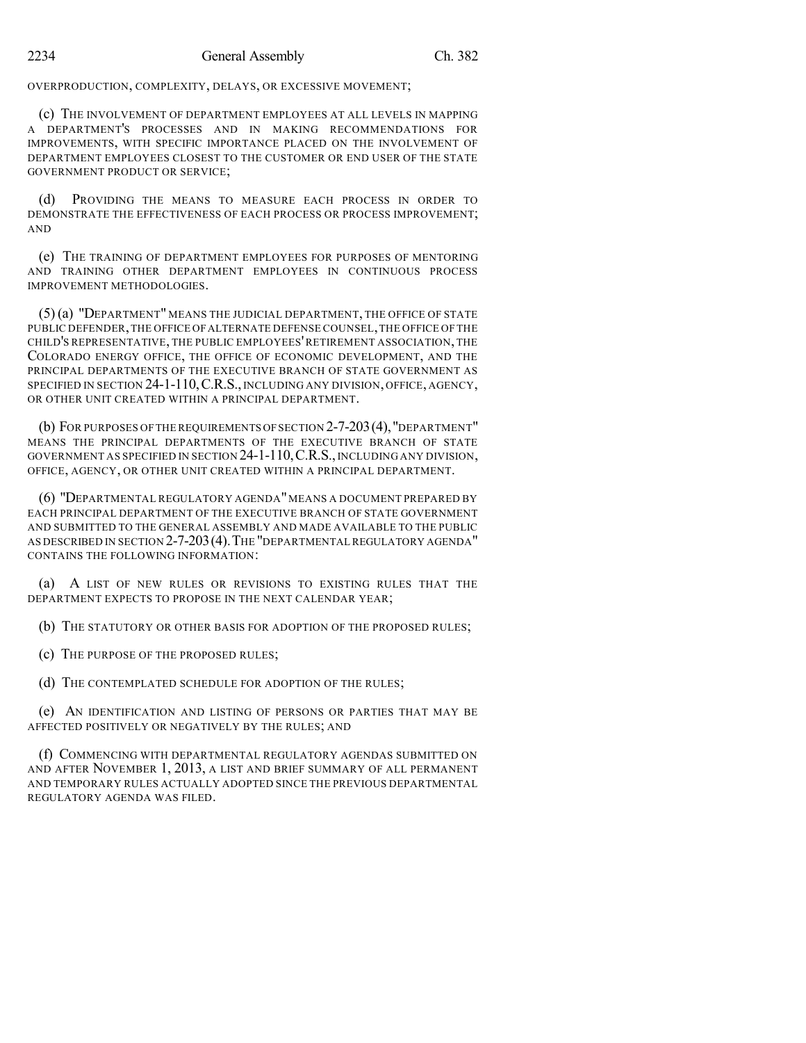OVERPRODUCTION, COMPLEXITY, DELAYS, OR EXCESSIVE MOVEMENT;

(c) THE INVOLVEMENT OF DEPARTMENT EMPLOYEES AT ALL LEVELS IN MAPPING A DEPARTMENT'S PROCESSES AND IN MAKING RECOMMENDATIONS FOR IMPROVEMENTS, WITH SPECIFIC IMPORTANCE PLACED ON THE INVOLVEMENT OF DEPARTMENT EMPLOYEES CLOSEST TO THE CUSTOMER OR END USER OF THE STATE GOVERNMENT PRODUCT OR SERVICE;

(d) PROVIDING THE MEANS TO MEASURE EACH PROCESS IN ORDER TO DEMONSTRATE THE EFFECTIVENESS OF EACH PROCESS OR PROCESS IMPROVEMENT; AND

(e) THE TRAINING OF DEPARTMENT EMPLOYEES FOR PURPOSES OF MENTORING AND TRAINING OTHER DEPARTMENT EMPLOYEES IN CONTINUOUS PROCESS IMPROVEMENT METHODOLOGIES.

(5) (a) "DEPARTMENT" MEANS THE JUDICIAL DEPARTMENT, THE OFFICE OF STATE PUBLIC DEFENDER,THE OFFICE OFALTERNATE DEFENSE COUNSEL,THE OFFICE OF THE CHILD'S REPRESENTATIVE, THE PUBLIC EMPLOYEES'RETIREMENT ASSOCIATION, THE COLORADO ENERGY OFFICE, THE OFFICE OF ECONOMIC DEVELOPMENT, AND THE PRINCIPAL DEPARTMENTS OF THE EXECUTIVE BRANCH OF STATE GOVERNMENT AS SPECIFIED IN SECTION 24-1-110, C.R.S., INCLUDING ANY DIVISION, OFFICE, AGENCY, OR OTHER UNIT CREATED WITHIN A PRINCIPAL DEPARTMENT.

(b) FOR PURPOSES OFTHE REQUIREMENTS OFSECTION 2-7-203(4),"DEPARTMENT" MEANS THE PRINCIPAL DEPARTMENTS OF THE EXECUTIVE BRANCH OF STATE GOVERNMENT AS SPECIFIED IN SECTION 24-1-110,C.R.S., INCLUDING ANY DIVISION, OFFICE, AGENCY, OR OTHER UNIT CREATED WITHIN A PRINCIPAL DEPARTMENT.

(6) "DEPARTMENTAL REGULATORY AGENDA"MEANS A DOCUMENT PREPARED BY EACH PRINCIPAL DEPARTMENT OF THE EXECUTIVE BRANCH OF STATE GOVERNMENT AND SUBMITTED TO THE GENERAL ASSEMBLY AND MADE AVAILABLE TO THE PUBLIC AS DESCRIBED IN SECTION 2-7-203(4).THE "DEPARTMENTAL REGULATORY AGENDA" CONTAINS THE FOLLOWING INFORMATION:

(a) A LIST OF NEW RULES OR REVISIONS TO EXISTING RULES THAT THE DEPARTMENT EXPECTS TO PROPOSE IN THE NEXT CALENDAR YEAR;

(b) THE STATUTORY OR OTHER BASIS FOR ADOPTION OF THE PROPOSED RULES;

(c) THE PURPOSE OF THE PROPOSED RULES;

(d) THE CONTEMPLATED SCHEDULE FOR ADOPTION OF THE RULES;

(e) AN IDENTIFICATION AND LISTING OF PERSONS OR PARTIES THAT MAY BE AFFECTED POSITIVELY OR NEGATIVELY BY THE RULES; AND

(f) COMMENCING WITH DEPARTMENTAL REGULATORY AGENDAS SUBMITTED ON AND AFTER NOVEMBER 1, 2013, A LIST AND BRIEF SUMMARY OF ALL PERMANENT AND TEMPORARY RULES ACTUALLY ADOPTED SINCE THE PREVIOUS DEPARTMENTAL REGULATORY AGENDA WAS FILED.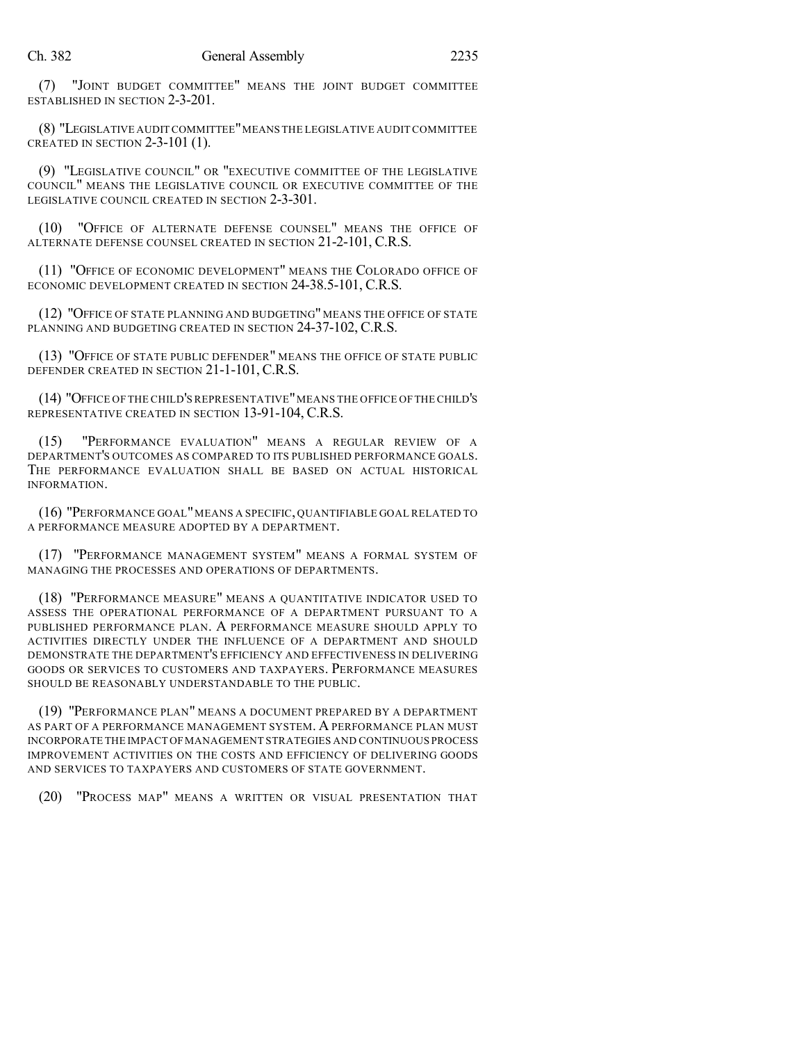(7) "JOINT BUDGET COMMITTEE" MEANS THE JOINT BUDGET COMMITTEE ESTABLISHED IN SECTION 2-3-201.

(8) "LEGISLATIVE AUDIT COMMITTEE"MEANS THE LEGISLATIVE AUDITCOMMITTEE CREATED IN SECTION 2-3-101 (1).

(9) "LEGISLATIVE COUNCIL" OR "EXECUTIVE COMMITTEE OF THE LEGISLATIVE COUNCIL" MEANS THE LEGISLATIVE COUNCIL OR EXECUTIVE COMMITTEE OF THE LEGISLATIVE COUNCIL CREATED IN SECTION 2-3-301.

(10) "OFFICE OF ALTERNATE DEFENSE COUNSEL" MEANS THE OFFICE OF ALTERNATE DEFENSE COUNSEL CREATED IN SECTION 21-2-101, C.R.S.

(11) "OFFICE OF ECONOMIC DEVELOPMENT" MEANS THE COLORADO OFFICE OF ECONOMIC DEVELOPMENT CREATED IN SECTION 24-38.5-101, C.R.S.

(12) "OFFICE OF STATE PLANNING AND BUDGETING" MEANS THE OFFICE OF STATE PLANNING AND BUDGETING CREATED IN SECTION 24-37-102, C.R.S.

(13) "OFFICE OF STATE PUBLIC DEFENDER" MEANS THE OFFICE OF STATE PUBLIC DEFENDER CREATED IN SECTION 21-1-101, C.R.S.

(14) "OFFICE OF THE CHILD'S REPRESENTATIVE"MEANS THE OFFICE OF THE CHILD'S REPRESENTATIVE CREATED IN SECTION 13-91-104, C.R.S.

(15) "PERFORMANCE EVALUATION" MEANS A REGULAR REVIEW OF A DEPARTMENT'S OUTCOMES AS COMPARED TO ITS PUBLISHED PERFORMANCE GOALS. THE PERFORMANCE EVALUATION SHALL BE BASED ON ACTUAL HISTORICAL INFORMATION.

(16) "PERFORMANCE GOAL"MEANS A SPECIFIC, QUANTIFIABLE GOAL RELATED TO A PERFORMANCE MEASURE ADOPTED BY A DEPARTMENT.

(17) "PERFORMANCE MANAGEMENT SYSTEM" MEANS A FORMAL SYSTEM OF MANAGING THE PROCESSES AND OPERATIONS OF DEPARTMENTS.

(18) "PERFORMANCE MEASURE" MEANS A QUANTITATIVE INDICATOR USED TO ASSESS THE OPERATIONAL PERFORMANCE OF A DEPARTMENT PURSUANT TO A PUBLISHED PERFORMANCE PLAN. A PERFORMANCE MEASURE SHOULD APPLY TO ACTIVITIES DIRECTLY UNDER THE INFLUENCE OF A DEPARTMENT AND SHOULD DEMONSTRATE THE DEPARTMENT'S EFFICIENCY AND EFFECTIVENESS IN DELIVERING GOODS OR SERVICES TO CUSTOMERS AND TAXPAYERS. PERFORMANCE MEASURES SHOULD BE REASONABLY UNDERSTANDABLE TO THE PUBLIC.

(19) "PERFORMANCE PLAN" MEANS A DOCUMENT PREPARED BY A DEPARTMENT AS PART OF A PERFORMANCE MANAGEMENT SYSTEM. A PERFORMANCE PLAN MUST INCORPORATE THE IMPACT OFMANAGEMENT STRATEGIES AND CONTINUOUS PROCESS IMPROVEMENT ACTIVITIES ON THE COSTS AND EFFICIENCY OF DELIVERING GOODS AND SERVICES TO TAXPAYERS AND CUSTOMERS OF STATE GOVERNMENT.

(20) "PROCESS MAP" MEANS A WRITTEN OR VISUAL PRESENTATION THAT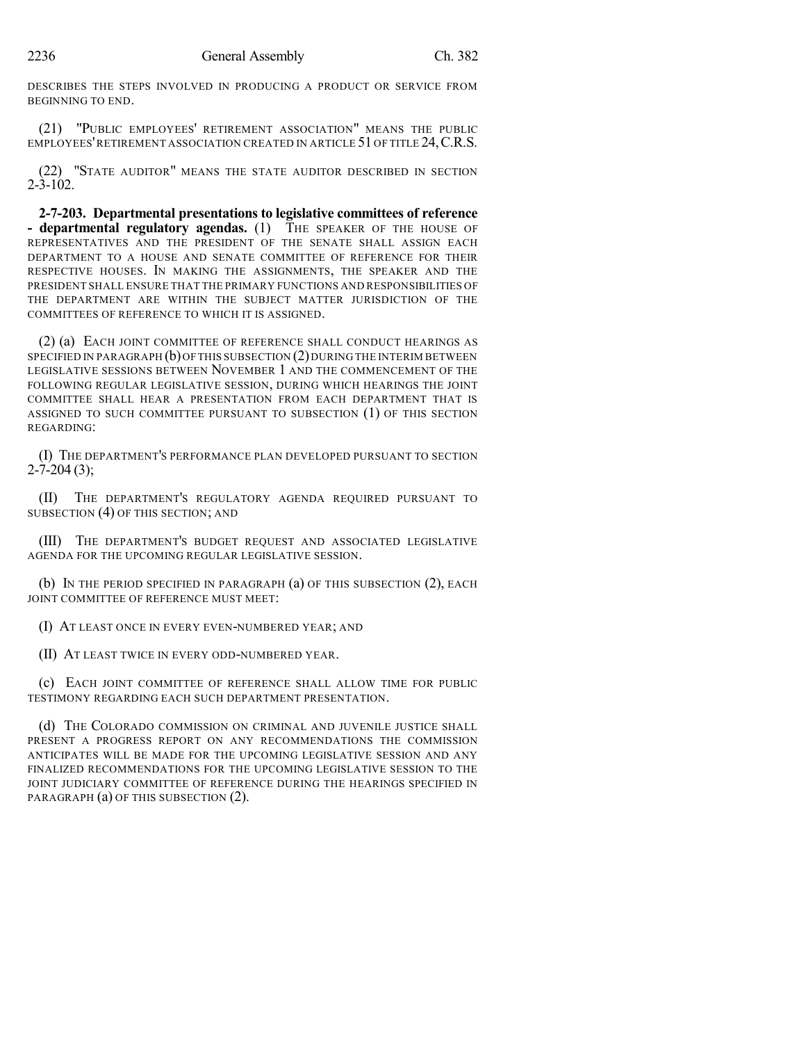DESCRIBES THE STEPS INVOLVED IN PRODUCING A PRODUCT OR SERVICE FROM BEGINNING TO END.

(21) "PUBLIC EMPLOYEES' RETIREMENT ASSOCIATION" MEANS THE PUBLIC EMPLOYEES'RETIREMENT ASSOCIATION CREATED IN ARTICLE 51 OF TITLE 24,C.R.S.

(22) "STATE AUDITOR" MEANS THE STATE AUDITOR DESCRIBED IN SECTION  $2 - 3 - 102$ .

**2-7-203. Departmental presentations to legislative committees of reference - departmental regulatory agendas.** (1) THE SPEAKER OF THE HOUSE OF REPRESENTATIVES AND THE PRESIDENT OF THE SENATE SHALL ASSIGN EACH DEPARTMENT TO A HOUSE AND SENATE COMMITTEE OF REFERENCE FOR THEIR RESPECTIVE HOUSES. IN MAKING THE ASSIGNMENTS, THE SPEAKER AND THE PRESIDENT SHALL ENSURE THAT THE PRIMARY FUNCTIONS AND RESPONSIBILITIES OF THE DEPARTMENT ARE WITHIN THE SUBJECT MATTER JURISDICTION OF THE COMMITTEES OF REFERENCE TO WHICH IT IS ASSIGNED.

(2) (a) EACH JOINT COMMITTEE OF REFERENCE SHALL CONDUCT HEARINGS AS SPECIFIED IN PARAGRAPH  $(b)$  OF THIS SUBSECTION  $(2)$  DURING THE INTERIM BETWEEN LEGISLATIVE SESSIONS BETWEEN NOVEMBER 1 AND THE COMMENCEMENT OF THE FOLLOWING REGULAR LEGISLATIVE SESSION, DURING WHICH HEARINGS THE JOINT COMMITTEE SHALL HEAR A PRESENTATION FROM EACH DEPARTMENT THAT IS ASSIGNED TO SUCH COMMITTEE PURSUANT TO SUBSECTION (1) OF THIS SECTION REGARDING:

(I) THE DEPARTMENT'S PERFORMANCE PLAN DEVELOPED PURSUANT TO SECTION  $2 - 7 - 204$  (3);

(II) THE DEPARTMENT'S REGULATORY AGENDA REQUIRED PURSUANT TO SUBSECTION (4) OF THIS SECTION; AND

(III) THE DEPARTMENT'S BUDGET REQUEST AND ASSOCIATED LEGISLATIVE AGENDA FOR THE UPCOMING REGULAR LEGISLATIVE SESSION.

(b) IN THE PERIOD SPECIFIED IN PARAGRAPH (a) OF THIS SUBSECTION (2), EACH JOINT COMMITTEE OF REFERENCE MUST MEET:

(I) AT LEAST ONCE IN EVERY EVEN-NUMBERED YEAR; AND

(II) AT LEAST TWICE IN EVERY ODD-NUMBERED YEAR.

(c) EACH JOINT COMMITTEE OF REFERENCE SHALL ALLOW TIME FOR PUBLIC TESTIMONY REGARDING EACH SUCH DEPARTMENT PRESENTATION.

(d) THE COLORADO COMMISSION ON CRIMINAL AND JUVENILE JUSTICE SHALL PRESENT A PROGRESS REPORT ON ANY RECOMMENDATIONS THE COMMISSION ANTICIPATES WILL BE MADE FOR THE UPCOMING LEGISLATIVE SESSION AND ANY FINALIZED RECOMMENDATIONS FOR THE UPCOMING LEGISLATIVE SESSION TO THE JOINT JUDICIARY COMMITTEE OF REFERENCE DURING THE HEARINGS SPECIFIED IN PARAGRAPH (a) OF THIS SUBSECTION (2).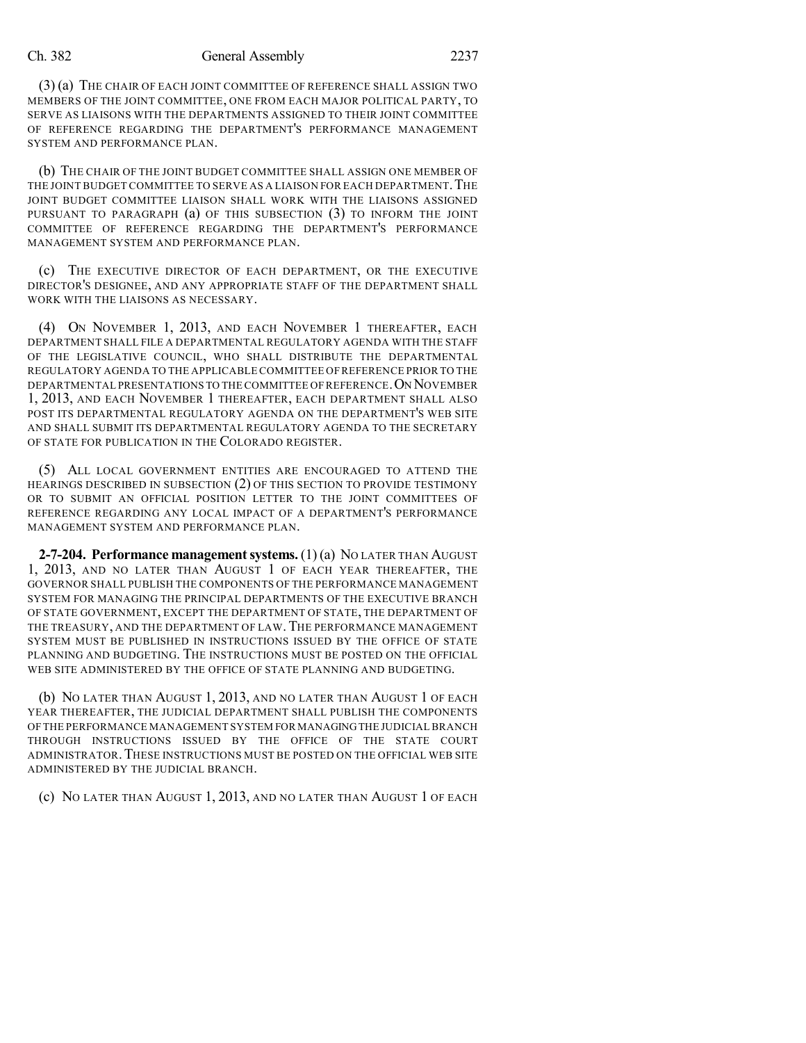#### Ch. 382 General Assembly 2237

(3) (a) THE CHAIR OF EACH JOINT COMMITTEE OF REFERENCE SHALL ASSIGN TWO MEMBERS OF THE JOINT COMMITTEE, ONE FROM EACH MAJOR POLITICAL PARTY, TO SERVE AS LIAISONS WITH THE DEPARTMENTS ASSIGNED TO THEIR JOINT COMMITTEE OF REFERENCE REGARDING THE DEPARTMENT'S PERFORMANCE MANAGEMENT SYSTEM AND PERFORMANCE PLAN.

(b) THE CHAIR OF THE JOINT BUDGET COMMITTEE SHALL ASSIGN ONE MEMBER OF THE JOINT BUDGET COMMITTEE TO SERVE AS A LIAISON FOR EACH DEPARTMENT. THE JOINT BUDGET COMMITTEE LIAISON SHALL WORK WITH THE LIAISONS ASSIGNED PURSUANT TO PARAGRAPH (a) OF THIS SUBSECTION (3) TO INFORM THE JOINT COMMITTEE OF REFERENCE REGARDING THE DEPARTMENT'S PERFORMANCE MANAGEMENT SYSTEM AND PERFORMANCE PLAN.

(c) THE EXECUTIVE DIRECTOR OF EACH DEPARTMENT, OR THE EXECUTIVE DIRECTOR'S DESIGNEE, AND ANY APPROPRIATE STAFF OF THE DEPARTMENT SHALL WORK WITH THE LIAISONS AS NECESSARY.

(4) ON NOVEMBER 1, 2013, AND EACH NOVEMBER 1 THEREAFTER, EACH DEPARTMENT SHALL FILE A DEPARTMENTAL REGULATORY AGENDA WITH THE STAFF OF THE LEGISLATIVE COUNCIL, WHO SHALL DISTRIBUTE THE DEPARTMENTAL REGULATORY AGENDA TO THE APPLICABLE COMMITTEE OF REFERENCE PRIOR TO THE DEPARTMENTAL PRESENTATIONS TO THE COMMITTEE OF REFERENCE. ON NOVEMBER 1, 2013, AND EACH NOVEMBER 1 THEREAFTER, EACH DEPARTMENT SHALL ALSO POST ITS DEPARTMENTAL REGULATORY AGENDA ON THE DEPARTMENT'S WEB SITE AND SHALL SUBMIT ITS DEPARTMENTAL REGULATORY AGENDA TO THE SECRETARY OF STATE FOR PUBLICATION IN THE COLORADO REGISTER.

(5) ALL LOCAL GOVERNMENT ENTITIES ARE ENCOURAGED TO ATTEND THE HEARINGS DESCRIBED IN SUBSECTION (2) OF THIS SECTION TO PROVIDE TESTIMONY OR TO SUBMIT AN OFFICIAL POSITION LETTER TO THE JOINT COMMITTEES OF REFERENCE REGARDING ANY LOCAL IMPACT OF A DEPARTMENT'S PERFORMANCE MANAGEMENT SYSTEM AND PERFORMANCE PLAN.

**2-7-204. Performance managementsystems.** (1) (a) NO LATER THAN AUGUST 1, 2013, AND NO LATER THAN AUGUST 1 OF EACH YEAR THEREAFTER, THE GOVERNOR SHALL PUBLISH THE COMPONENTS OF THE PERFORMANCE MANAGEMENT SYSTEM FOR MANAGING THE PRINCIPAL DEPARTMENTS OF THE EXECUTIVE BRANCH OF STATE GOVERNMENT, EXCEPT THE DEPARTMENT OF STATE, THE DEPARTMENT OF THE TREASURY, AND THE DEPARTMENT OF LAW. THE PERFORMANCE MANAGEMENT SYSTEM MUST BE PUBLISHED IN INSTRUCTIONS ISSUED BY THE OFFICE OF STATE PLANNING AND BUDGETING. THE INSTRUCTIONS MUST BE POSTED ON THE OFFICIAL WEB SITE ADMINISTERED BY THE OFFICE OF STATE PLANNING AND BUDGETING.

(b) NO LATER THAN AUGUST 1, 2013, AND NO LATER THAN AUGUST 1 OF EACH YEAR THEREAFTER, THE JUDICIAL DEPARTMENT SHALL PUBLISH THE COMPONENTS OF THE PERFORMANCE MANAGEMENT SYSTEM FOR MANAGINGTHE JUDICIAL BRANCH THROUGH INSTRUCTIONS ISSUED BY THE OFFICE OF THE STATE COURT ADMINISTRATOR. THESE INSTRUCTIONS MUST BE POSTED ON THE OFFICIAL WEB SITE ADMINISTERED BY THE JUDICIAL BRANCH.

(c) NO LATER THAN AUGUST 1, 2013, AND NO LATER THAN AUGUST 1 OF EACH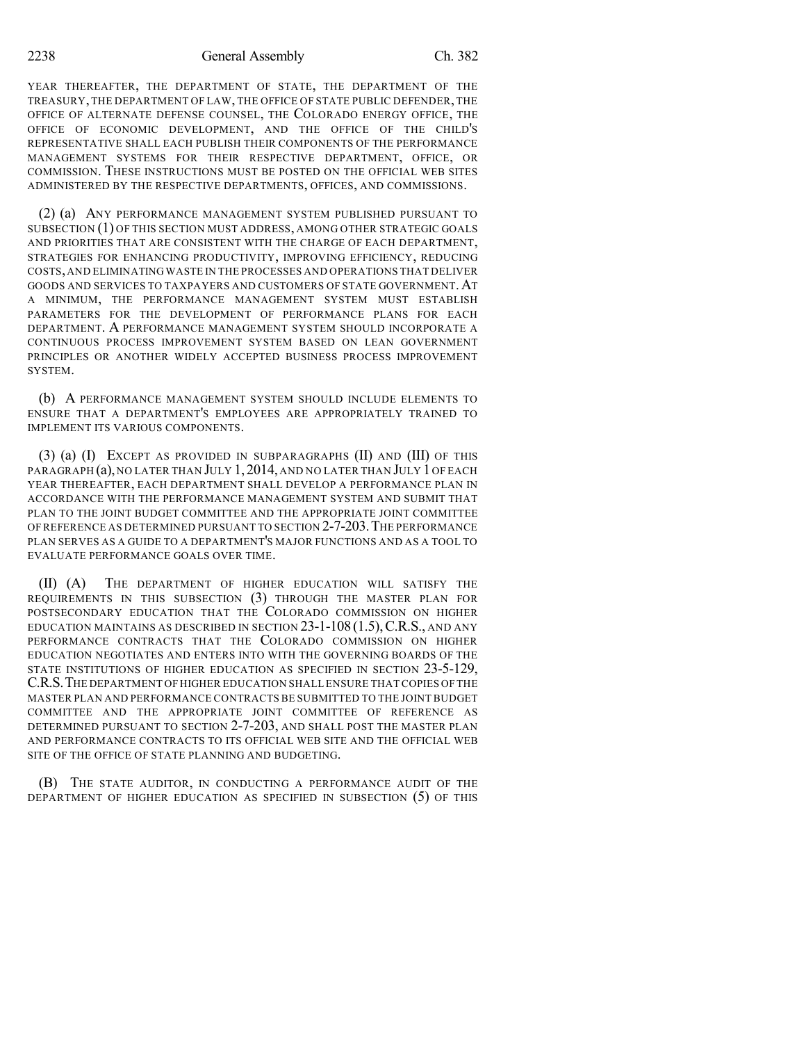2238 General Assembly Ch. 382

YEAR THEREAFTER, THE DEPARTMENT OF STATE, THE DEPARTMENT OF THE TREASURY, THE DEPARTMENT OF LAW, THE OFFICE OF STATE PUBLIC DEFENDER, THE OFFICE OF ALTERNATE DEFENSE COUNSEL, THE COLORADO ENERGY OFFICE, THE OFFICE OF ECONOMIC DEVELOPMENT, AND THE OFFICE OF THE CHILD'S REPRESENTATIVE SHALL EACH PUBLISH THEIR COMPONENTS OF THE PERFORMANCE MANAGEMENT SYSTEMS FOR THEIR RESPECTIVE DEPARTMENT, OFFICE, OR COMMISSION. THESE INSTRUCTIONS MUST BE POSTED ON THE OFFICIAL WEB SITES ADMINISTERED BY THE RESPECTIVE DEPARTMENTS, OFFICES, AND COMMISSIONS.

(2) (a) ANY PERFORMANCE MANAGEMENT SYSTEM PUBLISHED PURSUANT TO SUBSECTION (1) OF THIS SECTION MUST ADDRESS, AMONG OTHER STRATEGIC GOALS AND PRIORITIES THAT ARE CONSISTENT WITH THE CHARGE OF EACH DEPARTMENT, STRATEGIES FOR ENHANCING PRODUCTIVITY, IMPROVING EFFICIENCY, REDUCING COSTS,AND ELIMINATING WASTE IN THE PROCESSES AND OPERATIONS THAT DELIVER GOODS AND SERVICES TO TAXPAYERS AND CUSTOMERS OF STATE GOVERNMENT.AT A MINIMUM, THE PERFORMANCE MANAGEMENT SYSTEM MUST ESTABLISH PARAMETERS FOR THE DEVELOPMENT OF PERFORMANCE PLANS FOR EACH DEPARTMENT. A PERFORMANCE MANAGEMENT SYSTEM SHOULD INCORPORATE A CONTINUOUS PROCESS IMPROVEMENT SYSTEM BASED ON LEAN GOVERNMENT PRINCIPLES OR ANOTHER WIDELY ACCEPTED BUSINESS PROCESS IMPROVEMENT **SYSTEM.** 

(b) A PERFORMANCE MANAGEMENT SYSTEM SHOULD INCLUDE ELEMENTS TO ENSURE THAT A DEPARTMENT'S EMPLOYEES ARE APPROPRIATELY TRAINED TO IMPLEMENT ITS VARIOUS COMPONENTS.

(3) (a) (I) EXCEPT AS PROVIDED IN SUBPARAGRAPHS (II) AND (III) OF THIS PARAGRAPH (a), NO LATER THAN JULY 1, 2014, AND NO LATER THAN JULY 1 OF EACH YEAR THEREAFTER, EACH DEPARTMENT SHALL DEVELOP A PERFORMANCE PLAN IN ACCORDANCE WITH THE PERFORMANCE MANAGEMENT SYSTEM AND SUBMIT THAT PLAN TO THE JOINT BUDGET COMMITTEE AND THE APPROPRIATE JOINT COMMITTEE OF REFERENCE AS DETERMINED PURSUANT TO SECTION 2-7-203.THE PERFORMANCE PLAN SERVES AS A GUIDE TO A DEPARTMENT'S MAJOR FUNCTIONS AND AS A TOOL TO EVALUATE PERFORMANCE GOALS OVER TIME.

(II) (A) THE DEPARTMENT OF HIGHER EDUCATION WILL SATISFY THE REQUIREMENTS IN THIS SUBSECTION (3) THROUGH THE MASTER PLAN FOR POSTSECONDARY EDUCATION THAT THE COLORADO COMMISSION ON HIGHER EDUCATION MAINTAINS AS DESCRIBED IN SECTION  $23$ -1-108 (1.5), C.R.S., AND ANY PERFORMANCE CONTRACTS THAT THE COLORADO COMMISSION ON HIGHER EDUCATION NEGOTIATES AND ENTERS INTO WITH THE GOVERNING BOARDS OF THE STATE INSTITUTIONS OF HIGHER EDUCATION AS SPECIFIED IN SECTION 23-5-129, C.R.S.THE DEPARTMENT OF HIGHER EDUCATION SHALL ENSURE THAT COPIES OF THE MASTER PLAN AND PERFORMANCE CONTRACTS BE SUBMITTED TO THE JOINT BUDGET COMMITTEE AND THE APPROPRIATE JOINT COMMITTEE OF REFERENCE AS DETERMINED PURSUANT TO SECTION 2-7-203, AND SHALL POST THE MASTER PLAN AND PERFORMANCE CONTRACTS TO ITS OFFICIAL WEB SITE AND THE OFFICIAL WEB SITE OF THE OFFICE OF STATE PLANNING AND BUDGETING.

(B) THE STATE AUDITOR, IN CONDUCTING A PERFORMANCE AUDIT OF THE DEPARTMENT OF HIGHER EDUCATION AS SPECIFIED IN SUBSECTION (5) OF THIS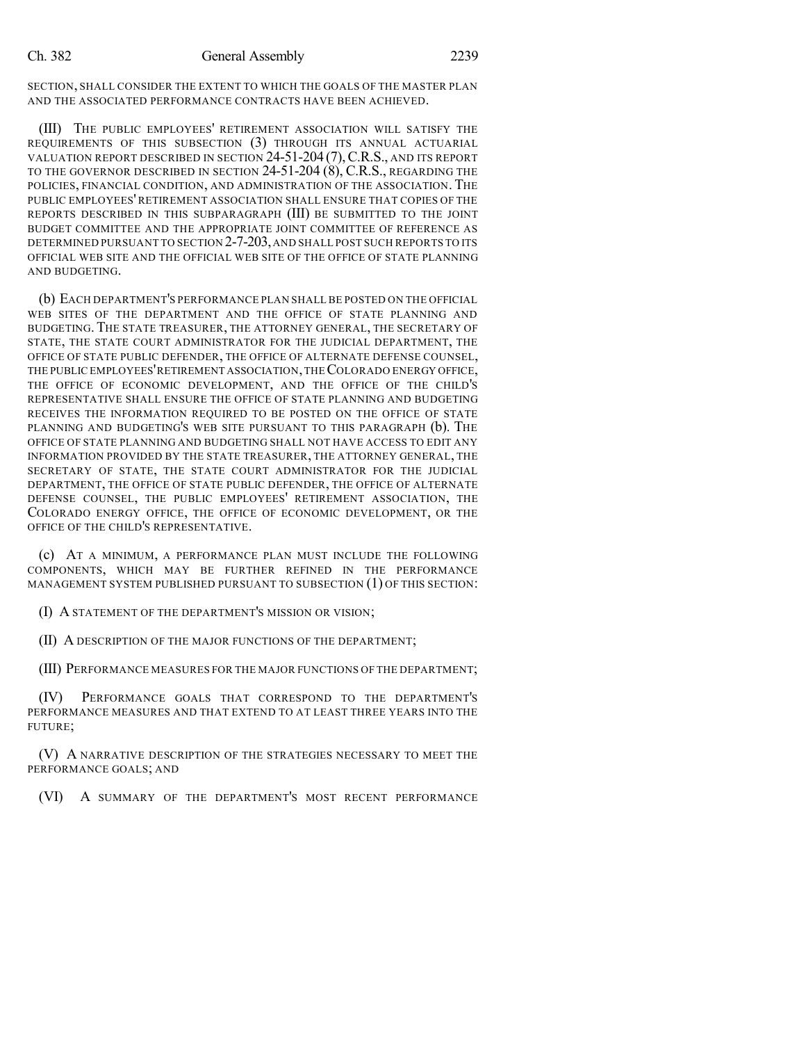SECTION, SHALL CONSIDER THE EXTENT TO WHICH THE GOALS OF THE MASTER PLAN AND THE ASSOCIATED PERFORMANCE CONTRACTS HAVE BEEN ACHIEVED.

(III) THE PUBLIC EMPLOYEES' RETIREMENT ASSOCIATION WILL SATISFY THE REQUIREMENTS OF THIS SUBSECTION (3) THROUGH ITS ANNUAL ACTUARIAL VALUATION REPORT DESCRIBED IN SECTION 24-51-204 (7),C.R.S., AND ITS REPORT TO THE GOVERNOR DESCRIBED IN SECTION 24-51-204 (8), C.R.S., REGARDING THE POLICIES, FINANCIAL CONDITION, AND ADMINISTRATION OF THE ASSOCIATION. THE PUBLIC EMPLOYEES' RETIREMENT ASSOCIATION SHALL ENSURE THAT COPIES OF THE REPORTS DESCRIBED IN THIS SUBPARAGRAPH (III) BE SUBMITTED TO THE JOINT BUDGET COMMITTEE AND THE APPROPRIATE JOINT COMMITTEE OF REFERENCE AS DETERMINED PURSUANT TO SECTION 2-7-203,AND SHALL POST SUCH REPORTS TO ITS OFFICIAL WEB SITE AND THE OFFICIAL WEB SITE OF THE OFFICE OF STATE PLANNING AND BUDGETING.

(b) EACH DEPARTMENT'S PERFORMANCE PLAN SHALL BE POSTED ON THE OFFICIAL WEB SITES OF THE DEPARTMENT AND THE OFFICE OF STATE PLANNING AND BUDGETING. THE STATE TREASURER, THE ATTORNEY GENERAL, THE SECRETARY OF STATE, THE STATE COURT ADMINISTRATOR FOR THE JUDICIAL DEPARTMENT, THE OFFICE OF STATE PUBLIC DEFENDER, THE OFFICE OF ALTERNATE DEFENSE COUNSEL, THE PUBLIC EMPLOYEES'RETIREMENT ASSOCIATION,THECOLORADO ENERGY OFFICE, THE OFFICE OF ECONOMIC DEVELOPMENT, AND THE OFFICE OF THE CHILD'S REPRESENTATIVE SHALL ENSURE THE OFFICE OF STATE PLANNING AND BUDGETING RECEIVES THE INFORMATION REQUIRED TO BE POSTED ON THE OFFICE OF STATE PLANNING AND BUDGETING'S WEB SITE PURSUANT TO THIS PARAGRAPH (b). THE OFFICE OF STATE PLANNING AND BUDGETING SHALL NOT HAVE ACCESS TO EDIT ANY INFORMATION PROVIDED BY THE STATE TREASURER, THE ATTORNEY GENERAL, THE SECRETARY OF STATE, THE STATE COURT ADMINISTRATOR FOR THE JUDICIAL DEPARTMENT, THE OFFICE OF STATE PUBLIC DEFENDER, THE OFFICE OF ALTERNATE DEFENSE COUNSEL, THE PUBLIC EMPLOYEES' RETIREMENT ASSOCIATION, THE COLORADO ENERGY OFFICE, THE OFFICE OF ECONOMIC DEVELOPMENT, OR THE OFFICE OF THE CHILD'S REPRESENTATIVE.

(c) AT A MINIMUM, A PERFORMANCE PLAN MUST INCLUDE THE FOLLOWING COMPONENTS, WHICH MAY BE FURTHER REFINED IN THE PERFORMANCE MANAGEMENT SYSTEM PUBLISHED PURSUANT TO SUBSECTION (1) OF THIS SECTION:

(I) A STATEMENT OF THE DEPARTMENT'S MISSION OR VISION;

(II) A DESCRIPTION OF THE MAJOR FUNCTIONS OF THE DEPARTMENT;

(III) PERFORMANCE MEASURES FOR THE MAJOR FUNCTIONS OF THE DEPARTMENT;

(IV) PERFORMANCE GOALS THAT CORRESPOND TO THE DEPARTMENT'S PERFORMANCE MEASURES AND THAT EXTEND TO AT LEAST THREE YEARS INTO THE FUTURE;

(V) A NARRATIVE DESCRIPTION OF THE STRATEGIES NECESSARY TO MEET THE PERFORMANCE GOALS; AND

(VI) A SUMMARY OF THE DEPARTMENT'S MOST RECENT PERFORMANCE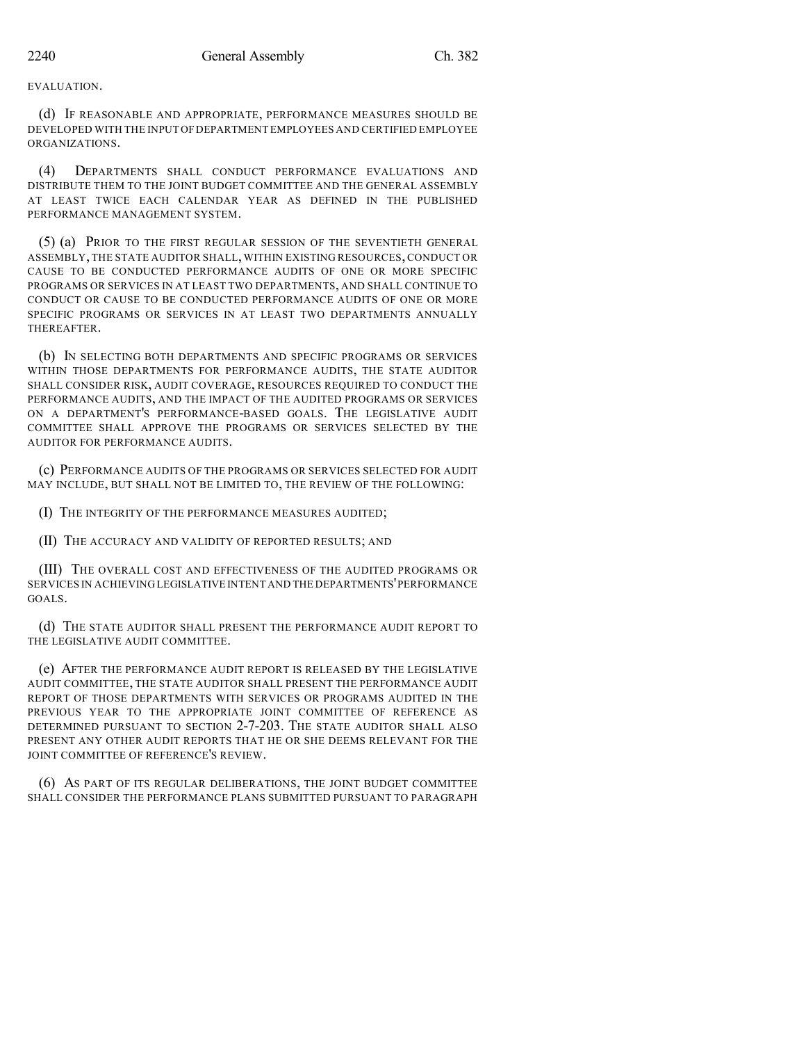EVALUATION.

(d) IF REASONABLE AND APPROPRIATE, PERFORMANCE MEASURES SHOULD BE DEVELOPED WITH THE INPUT OFDEPARTMENT EMPLOYEES AND CERTIFIED EMPLOYEE ORGANIZATIONS.

(4) DEPARTMENTS SHALL CONDUCT PERFORMANCE EVALUATIONS AND DISTRIBUTE THEM TO THE JOINT BUDGET COMMITTEE AND THE GENERAL ASSEMBLY AT LEAST TWICE EACH CALENDAR YEAR AS DEFINED IN THE PUBLISHED PERFORMANCE MANAGEMENT SYSTEM.

(5) (a) PRIOR TO THE FIRST REGULAR SESSION OF THE SEVENTIETH GENERAL ASSEMBLY, THE STATE AUDITOR SHALL, WITHIN EXISTING RESOURCES, CONDUCT OR CAUSE TO BE CONDUCTED PERFORMANCE AUDITS OF ONE OR MORE SPECIFIC PROGRAMS OR SERVICES IN AT LEAST TWO DEPARTMENTS, AND SHALL CONTINUE TO CONDUCT OR CAUSE TO BE CONDUCTED PERFORMANCE AUDITS OF ONE OR MORE SPECIFIC PROGRAMS OR SERVICES IN AT LEAST TWO DEPARTMENTS ANNUALLY THEREAFTER.

(b) IN SELECTING BOTH DEPARTMENTS AND SPECIFIC PROGRAMS OR SERVICES WITHIN THOSE DEPARTMENTS FOR PERFORMANCE AUDITS, THE STATE AUDITOR SHALL CONSIDER RISK, AUDIT COVERAGE, RESOURCES REQUIRED TO CONDUCT THE PERFORMANCE AUDITS, AND THE IMPACT OF THE AUDITED PROGRAMS OR SERVICES ON A DEPARTMENT'S PERFORMANCE-BASED GOALS. THE LEGISLATIVE AUDIT COMMITTEE SHALL APPROVE THE PROGRAMS OR SERVICES SELECTED BY THE AUDITOR FOR PERFORMANCE AUDITS.

(c) PERFORMANCE AUDITS OF THE PROGRAMS OR SERVICES SELECTED FOR AUDIT MAY INCLUDE, BUT SHALL NOT BE LIMITED TO, THE REVIEW OF THE FOLLOWING:

(I) THE INTEGRITY OF THE PERFORMANCE MEASURES AUDITED;

(II) THE ACCURACY AND VALIDITY OF REPORTED RESULTS; AND

(III) THE OVERALL COST AND EFFECTIVENESS OF THE AUDITED PROGRAMS OR SERVICES IN ACHIEVING LEGISLATIVE INTENT AND THE DEPARTMENTS'PERFORMANCE GOALS.

(d) THE STATE AUDITOR SHALL PRESENT THE PERFORMANCE AUDIT REPORT TO THE LEGISLATIVE AUDIT COMMITTEE.

(e) AFTER THE PERFORMANCE AUDIT REPORT IS RELEASED BY THE LEGISLATIVE AUDIT COMMITTEE, THE STATE AUDITOR SHALL PRESENT THE PERFORMANCE AUDIT REPORT OF THOSE DEPARTMENTS WITH SERVICES OR PROGRAMS AUDITED IN THE PREVIOUS YEAR TO THE APPROPRIATE JOINT COMMITTEE OF REFERENCE AS DETERMINED PURSUANT TO SECTION 2-7-203. THE STATE AUDITOR SHALL ALSO PRESENT ANY OTHER AUDIT REPORTS THAT HE OR SHE DEEMS RELEVANT FOR THE JOINT COMMITTEE OF REFERENCE'S REVIEW.

(6) AS PART OF ITS REGULAR DELIBERATIONS, THE JOINT BUDGET COMMITTEE SHALL CONSIDER THE PERFORMANCE PLANS SUBMITTED PURSUANT TO PARAGRAPH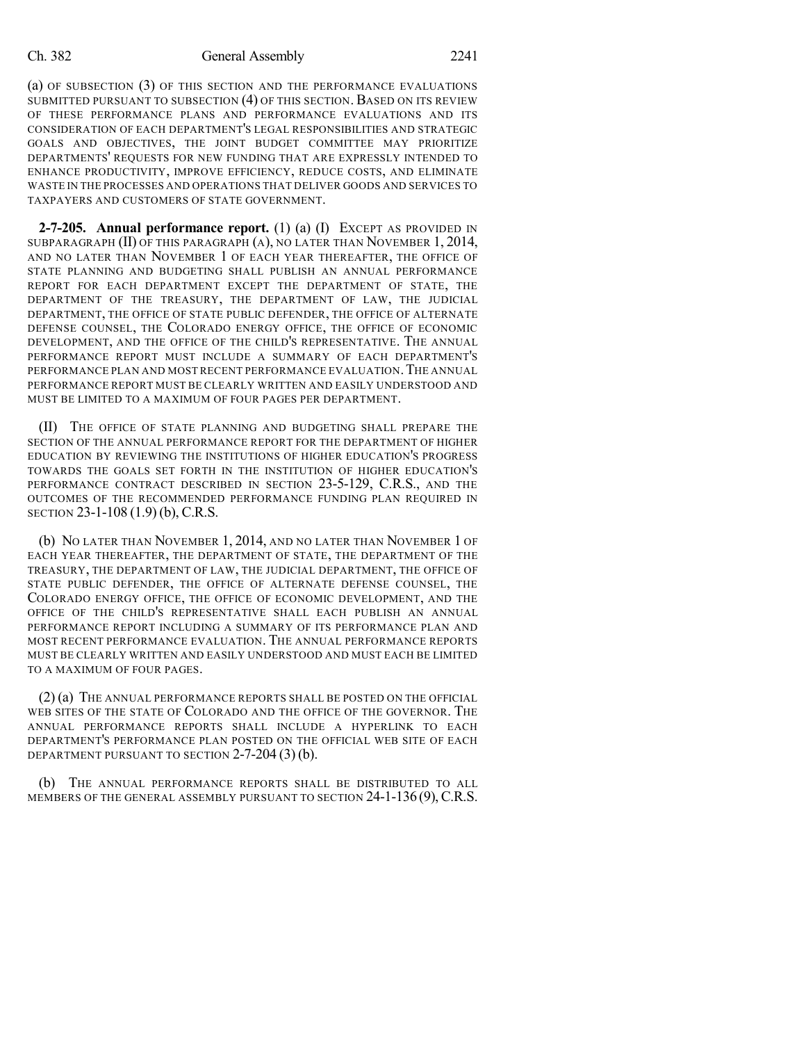(a) OF SUBSECTION (3) OF THIS SECTION AND THE PERFORMANCE EVALUATIONS SUBMITTED PURSUANT TO SUBSECTION (4) OF THIS SECTION. BASED ON ITS REVIEW OF THESE PERFORMANCE PLANS AND PERFORMANCE EVALUATIONS AND ITS CONSIDERATION OF EACH DEPARTMENT'S LEGAL RESPONSIBILITIES AND STRATEGIC GOALS AND OBJECTIVES, THE JOINT BUDGET COMMITTEE MAY PRIORITIZE DEPARTMENTS' REQUESTS FOR NEW FUNDING THAT ARE EXPRESSLY INTENDED TO ENHANCE PRODUCTIVITY, IMPROVE EFFICIENCY, REDUCE COSTS, AND ELIMINATE WASTE IN THE PROCESSES AND OPERATIONS THAT DELIVER GOODS AND SERVICES TO TAXPAYERS AND CUSTOMERS OF STATE GOVERNMENT.

**2-7-205. Annual performance report.** (1) (a) (I) EXCEPT AS PROVIDED IN SUBPARAGRAPH (II) OF THIS PARAGRAPH (A), NO LATER THAN NOVEMBER 1, 2014, AND NO LATER THAN NOVEMBER 1 OF EACH YEAR THEREAFTER, THE OFFICE OF STATE PLANNING AND BUDGETING SHALL PUBLISH AN ANNUAL PERFORMANCE REPORT FOR EACH DEPARTMENT EXCEPT THE DEPARTMENT OF STATE, THE DEPARTMENT OF THE TREASURY, THE DEPARTMENT OF LAW, THE JUDICIAL DEPARTMENT, THE OFFICE OF STATE PUBLIC DEFENDER, THE OFFICE OF ALTERNATE DEFENSE COUNSEL, THE COLORADO ENERGY OFFICE, THE OFFICE OF ECONOMIC DEVELOPMENT, AND THE OFFICE OF THE CHILD'S REPRESENTATIVE. THE ANNUAL PERFORMANCE REPORT MUST INCLUDE A SUMMARY OF EACH DEPARTMENT'S PERFORMANCE PLAN AND MOST RECENT PERFORMANCE EVALUATION. THE ANNUAL PERFORMANCE REPORT MUST BE CLEARLY WRITTEN AND EASILY UNDERSTOOD AND MUST BE LIMITED TO A MAXIMUM OF FOUR PAGES PER DEPARTMENT.

(II) THE OFFICE OF STATE PLANNING AND BUDGETING SHALL PREPARE THE SECTION OF THE ANNUAL PERFORMANCE REPORT FOR THE DEPARTMENT OF HIGHER EDUCATION BY REVIEWING THE INSTITUTIONS OF HIGHER EDUCATION'S PROGRESS TOWARDS THE GOALS SET FORTH IN THE INSTITUTION OF HIGHER EDUCATION'S PERFORMANCE CONTRACT DESCRIBED IN SECTION 23-5-129, C.R.S., AND THE OUTCOMES OF THE RECOMMENDED PERFORMANCE FUNDING PLAN REQUIRED IN SECTION 23-1-108 (1.9) (b), C.R.S.

(b) NO LATER THAN NOVEMBER 1, 2014, AND NO LATER THAN NOVEMBER 1 OF EACH YEAR THEREAFTER, THE DEPARTMENT OF STATE, THE DEPARTMENT OF THE TREASURY, THE DEPARTMENT OF LAW, THE JUDICIAL DEPARTMENT, THE OFFICE OF STATE PUBLIC DEFENDER, THE OFFICE OF ALTERNATE DEFENSE COUNSEL, THE COLORADO ENERGY OFFICE, THE OFFICE OF ECONOMIC DEVELOPMENT, AND THE OFFICE OF THE CHILD'S REPRESENTATIVE SHALL EACH PUBLISH AN ANNUAL PERFORMANCE REPORT INCLUDING A SUMMARY OF ITS PERFORMANCE PLAN AND MOST RECENT PERFORMANCE EVALUATION. THE ANNUAL PERFORMANCE REPORTS MUST BE CLEARLY WRITTEN AND EASILY UNDERSTOOD AND MUST EACH BE LIMITED TO A MAXIMUM OF FOUR PAGES.

(2) (a) THE ANNUAL PERFORMANCE REPORTS SHALL BE POSTED ON THE OFFICIAL WEB SITES OF THE STATE OF COLORADO AND THE OFFICE OF THE GOVERNOR. THE ANNUAL PERFORMANCE REPORTS SHALL INCLUDE A HYPERLINK TO EACH DEPARTMENT'S PERFORMANCE PLAN POSTED ON THE OFFICIAL WEB SITE OF EACH DEPARTMENT PURSUANT TO SECTION 2-7-204 (3) (b).

(b) THE ANNUAL PERFORMANCE REPORTS SHALL BE DISTRIBUTED TO ALL MEMBERS OF THE GENERAL ASSEMBLY PURSUANT TO SECTION 24-1-136 (9), C.R.S.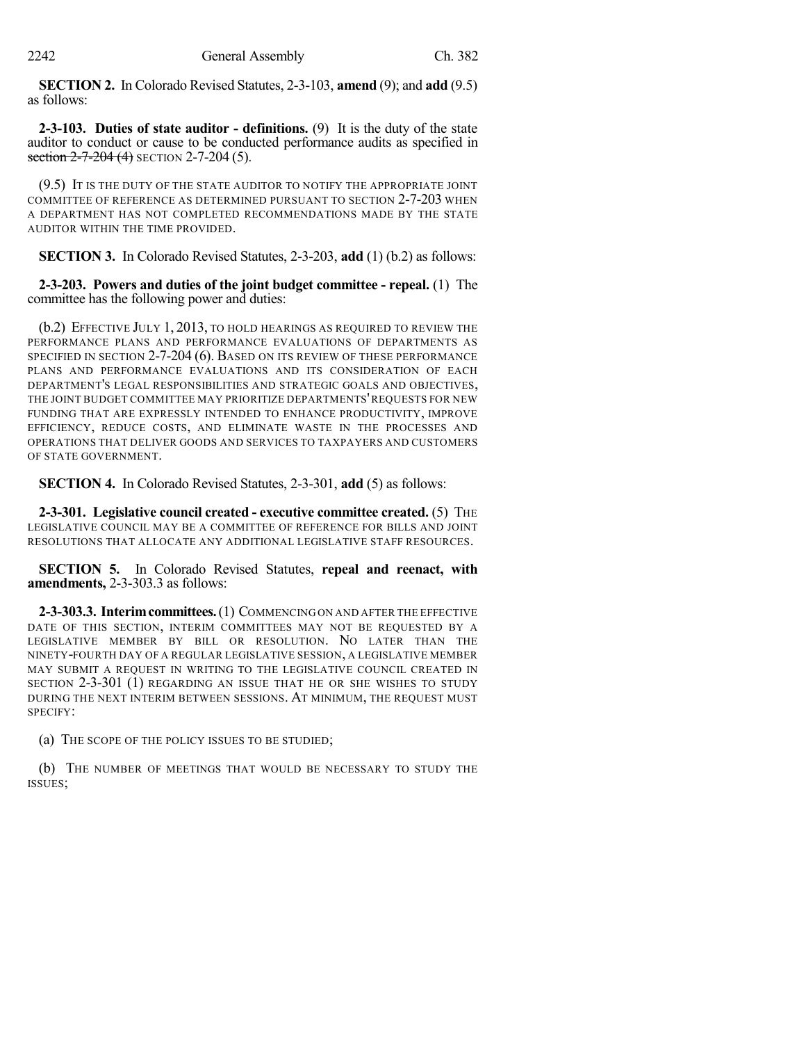**SECTION 2.** In Colorado Revised Statutes, 2-3-103, **amend** (9); and **add** (9.5) as follows:

**2-3-103. Duties of state auditor - definitions.** (9) It is the duty of the state auditor to conduct or cause to be conducted performance audits as specified in section  $2-7-204$  (4) SECTION 2-7-204 (5).

(9.5) IT IS THE DUTY OF THE STATE AUDITOR TO NOTIFY THE APPROPRIATE JOINT COMMITTEE OF REFERENCE AS DETERMINED PURSUANT TO SECTION 2-7-203 WHEN A DEPARTMENT HAS NOT COMPLETED RECOMMENDATIONS MADE BY THE STATE AUDITOR WITHIN THE TIME PROVIDED.

**SECTION 3.** In Colorado Revised Statutes, 2-3-203, **add** (1) (b.2) as follows:

**2-3-203. Powers and duties of the joint budget committee - repeal.** (1) The committee has the following power and duties:

(b.2) EFFECTIVE JULY 1, 2013, TO HOLD HEARINGS AS REQUIRED TO REVIEW THE PERFORMANCE PLANS AND PERFORMANCE EVALUATIONS OF DEPARTMENTS AS SPECIFIED IN SECTION 2-7-204 (6). BASED ON ITS REVIEW OF THESE PERFORMANCE PLANS AND PERFORMANCE EVALUATIONS AND ITS CONSIDERATION OF EACH DEPARTMENT'S LEGAL RESPONSIBILITIES AND STRATEGIC GOALS AND OBJECTIVES, THE JOINT BUDGET COMMITTEE MAY PRIORITIZE DEPARTMENTS'REQUESTS FOR NEW FUNDING THAT ARE EXPRESSLY INTENDED TO ENHANCE PRODUCTIVITY, IMPROVE EFFICIENCY, REDUCE COSTS, AND ELIMINATE WASTE IN THE PROCESSES AND OPERATIONS THAT DELIVER GOODS AND SERVICES TO TAXPAYERS AND CUSTOMERS OF STATE GOVERNMENT.

**SECTION 4.** In Colorado Revised Statutes, 2-3-301, **add** (5) as follows:

**2-3-301. Legislative council created - executive committee created.** (5) THE LEGISLATIVE COUNCIL MAY BE A COMMITTEE OF REFERENCE FOR BILLS AND JOINT RESOLUTIONS THAT ALLOCATE ANY ADDITIONAL LEGISLATIVE STAFF RESOURCES.

**SECTION 5.** In Colorado Revised Statutes, **repeal and reenact, with amendments,** 2-3-303.3 as follows:

**2-3-303.3. Interimcommittees.**(1) COMMENCING ON AND AFTER THE EFFECTIVE DATE OF THIS SECTION, INTERIM COMMITTEES MAY NOT BE REQUESTED BY A LEGISLATIVE MEMBER BY BILL OR RESOLUTION. NO LATER THAN THE NINETY-FOURTH DAY OF A REGULAR LEGISLATIVE SESSION, A LEGISLATIVE MEMBER MAY SUBMIT A REQUEST IN WRITING TO THE LEGISLATIVE COUNCIL CREATED IN SECTION 2-3-301 (1) REGARDING AN ISSUE THAT HE OR SHE WISHES TO STUDY DURING THE NEXT INTERIM BETWEEN SESSIONS. AT MINIMUM, THE REQUEST MUST SPECIFY:

(a) THE SCOPE OF THE POLICY ISSUES TO BE STUDIED;

(b) THE NUMBER OF MEETINGS THAT WOULD BE NECESSARY TO STUDY THE ISSUES;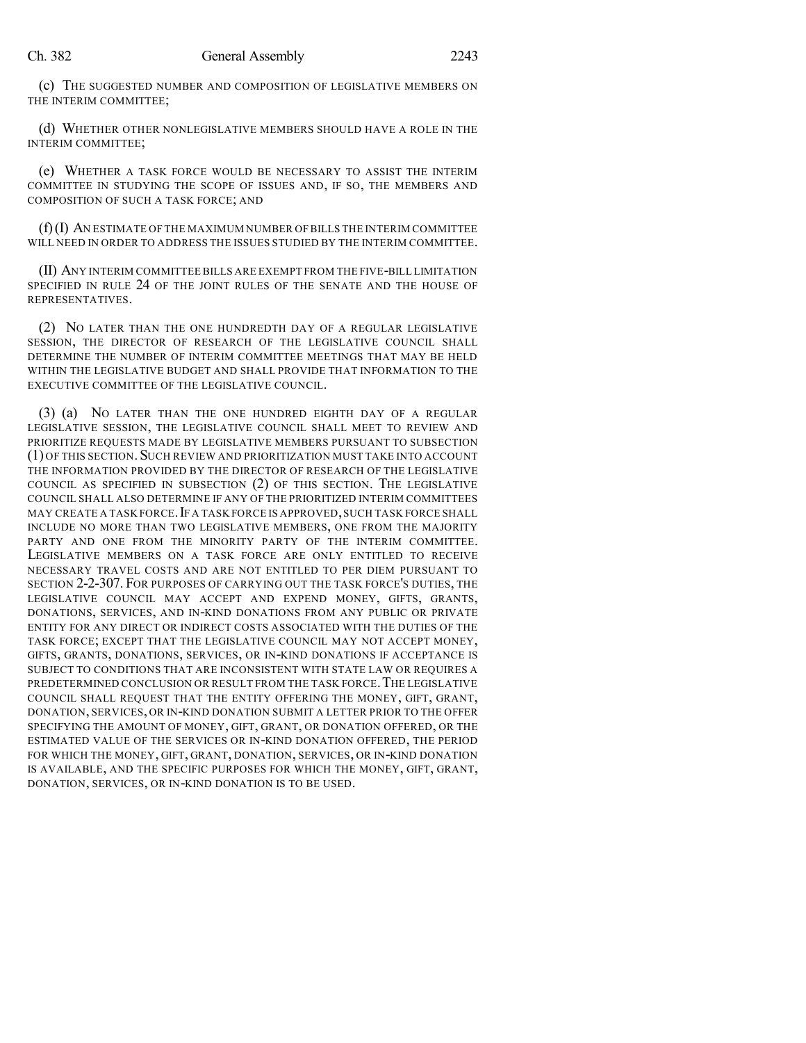(c) THE SUGGESTED NUMBER AND COMPOSITION OF LEGISLATIVE MEMBERS ON THE INTERIM COMMITTEE;

(d) WHETHER OTHER NONLEGISLATIVE MEMBERS SHOULD HAVE A ROLE IN THE INTERIM COMMITTEE;

(e) WHETHER A TASK FORCE WOULD BE NECESSARY TO ASSIST THE INTERIM COMMITTEE IN STUDYING THE SCOPE OF ISSUES AND, IF SO, THE MEMBERS AND COMPOSITION OF SUCH A TASK FORCE; AND

(f)(I) AN ESTIMATE OF THE MAXIMUM NUMBER OF BILLS THE INTERIM COMMITTEE WILL NEED IN ORDER TO ADDRESS THE ISSUES STUDIED BY THE INTERIM COMMITTEE.

(II) ANY INTERIM COMMITTEE BILLS ARE EXEMPT FROM THE FIVE-BILL LIMITATION SPECIFIED IN RULE 24 OF THE JOINT RULES OF THE SENATE AND THE HOUSE OF REPRESENTATIVES.

(2) NO LATER THAN THE ONE HUNDREDTH DAY OF A REGULAR LEGISLATIVE SESSION, THE DIRECTOR OF RESEARCH OF THE LEGISLATIVE COUNCIL SHALL DETERMINE THE NUMBER OF INTERIM COMMITTEE MEETINGS THAT MAY BE HELD WITHIN THE LEGISLATIVE BUDGET AND SHALL PROVIDE THAT INFORMATION TO THE EXECUTIVE COMMITTEE OF THE LEGISLATIVE COUNCIL.

(3) (a) NO LATER THAN THE ONE HUNDRED EIGHTH DAY OF A REGULAR LEGISLATIVE SESSION, THE LEGISLATIVE COUNCIL SHALL MEET TO REVIEW AND PRIORITIZE REQUESTS MADE BY LEGISLATIVE MEMBERS PURSUANT TO SUBSECTION (1) OF THIS SECTION.SUCH REVIEW AND PRIORITIZATION MUST TAKE INTO ACCOUNT THE INFORMATION PROVIDED BY THE DIRECTOR OF RESEARCH OF THE LEGISLATIVE COUNCIL AS SPECIFIED IN SUBSECTION (2) OF THIS SECTION. THE LEGISLATIVE COUNCIL SHALL ALSO DETERMINE IF ANY OF THE PRIORITIZED INTERIM COMMITTEES MAY CREATE A TASK FORCE.IF A TASK FORCE IS APPROVED,SUCH TASK FORCE SHALL INCLUDE NO MORE THAN TWO LEGISLATIVE MEMBERS, ONE FROM THE MAJORITY PARTY AND ONE FROM THE MINORITY PARTY OF THE INTERIM COMMITTEE. LEGISLATIVE MEMBERS ON A TASK FORCE ARE ONLY ENTITLED TO RECEIVE NECESSARY TRAVEL COSTS AND ARE NOT ENTITLED TO PER DIEM PURSUANT TO SECTION 2-2-307. FOR PURPOSES OF CARRYING OUT THE TASK FORCE'S DUTIES, THE LEGISLATIVE COUNCIL MAY ACCEPT AND EXPEND MONEY, GIFTS, GRANTS, DONATIONS, SERVICES, AND IN-KIND DONATIONS FROM ANY PUBLIC OR PRIVATE ENTITY FOR ANY DIRECT OR INDIRECT COSTS ASSOCIATED WITH THE DUTIES OF THE TASK FORCE; EXCEPT THAT THE LEGISLATIVE COUNCIL MAY NOT ACCEPT MONEY, GIFTS, GRANTS, DONATIONS, SERVICES, OR IN-KIND DONATIONS IF ACCEPTANCE IS SUBJECT TO CONDITIONS THAT ARE INCONSISTENT WITH STATE LAW OR REQUIRES A PREDETERMINED CONCLUSION OR RESULT FROM THE TASK FORCE. THE LEGISLATIVE COUNCIL SHALL REQUEST THAT THE ENTITY OFFERING THE MONEY, GIFT, GRANT, DONATION, SERVICES, OR IN-KIND DONATION SUBMIT A LETTER PRIOR TO THE OFFER SPECIFYING THE AMOUNT OF MONEY, GIFT, GRANT, OR DONATION OFFERED, OR THE ESTIMATED VALUE OF THE SERVICES OR IN-KIND DONATION OFFERED, THE PERIOD FOR WHICH THE MONEY, GIFT, GRANT, DONATION, SERVICES, OR IN-KIND DONATION IS AVAILABLE, AND THE SPECIFIC PURPOSES FOR WHICH THE MONEY, GIFT, GRANT, DONATION, SERVICES, OR IN-KIND DONATION IS TO BE USED.